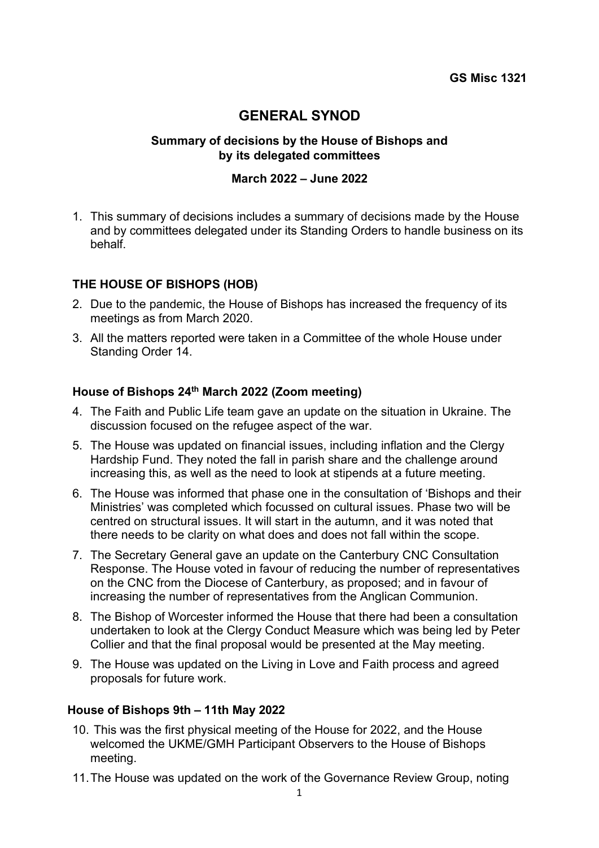# **GENERAL SYNOD**

# **Summary of decisions by the House of Bishops and by its delegated committees**

## **March 2022 – June 2022**

1. This summary of decisions includes a summary of decisions made by the House and by committees delegated under its Standing Orders to handle business on its behalf.

### **THE HOUSE OF BISHOPS (HOB)**

- 2. Due to the pandemic, the House of Bishops has increased the frequency of its meetings as from March 2020.
- 3. All the matters reported were taken in a Committee of the whole House under Standing Order 14.

## **House of Bishops 24th March 2022 (Zoom meeting)**

- 4. The Faith and Public Life team gave an update on the situation in Ukraine. The discussion focused on the refugee aspect of the war.
- 5. The House was updated on financial issues, including inflation and the Clergy Hardship Fund. They noted the fall in parish share and the challenge around increasing this, as well as the need to look at stipends at a future meeting.
- 6. The House was informed that phase one in the consultation of 'Bishops and their Ministries' was completed which focussed on cultural issues. Phase two will be centred on structural issues. It will start in the autumn, and it was noted that there needs to be clarity on what does and does not fall within the scope.
- 7. The Secretary General gave an update on the Canterbury CNC Consultation Response. The House voted in favour of reducing the number of representatives on the CNC from the Diocese of Canterbury, as proposed; and in favour of increasing the number of representatives from the Anglican Communion.
- 8. The Bishop of Worcester informed the House that there had been a consultation undertaken to look at the Clergy Conduct Measure which was being led by Peter Collier and that the final proposal would be presented at the May meeting.
- 9. The House was updated on the Living in Love and Faith process and agreed proposals for future work.

#### **House of Bishops 9th – 11th May 2022**

- 10. This was the first physical meeting of the House for 2022, and the House welcomed the UKME/GMH Participant Observers to the House of Bishops meeting.
- 11.The House was updated on the work of the Governance Review Group, noting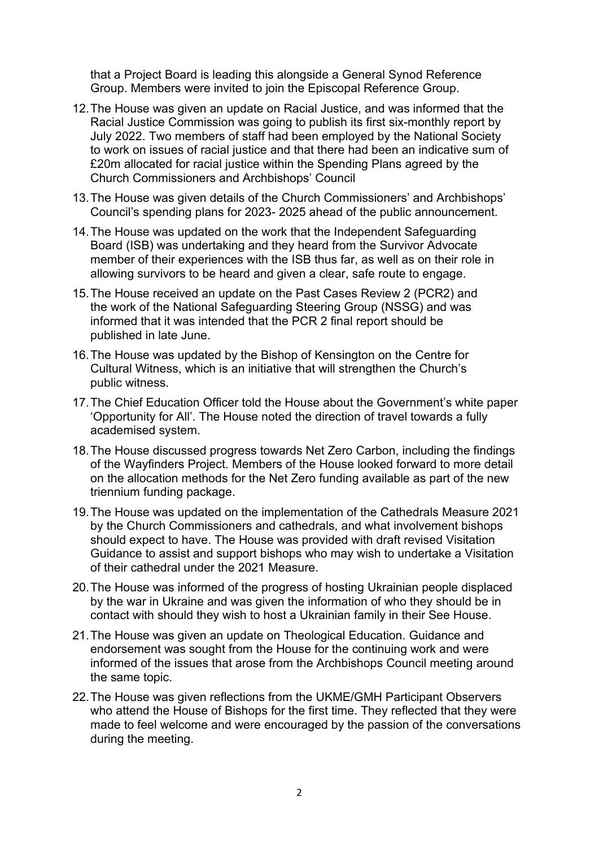that a Project Board is leading this alongside a General Synod Reference Group. Members were invited to join the Episcopal Reference Group.

- 12.The House was given an update on Racial Justice, and was informed that the Racial Justice Commission was going to publish its first six-monthly report by July 2022. Two members of staff had been employed by the National Society to work on issues of racial justice and that there had been an indicative sum of £20m allocated for racial justice within the Spending Plans agreed by the Church Commissioners and Archbishops' Council
- 13.The House was given details of the Church Commissioners' and Archbishops' Council's spending plans for 2023- 2025 ahead of the public announcement.
- 14.The House was updated on the work that the Independent Safeguarding Board (ISB) was undertaking and they heard from the Survivor Advocate member of their experiences with the ISB thus far, as well as on their role in allowing survivors to be heard and given a clear, safe route to engage.
- 15.The House received an update on the Past Cases Review 2 (PCR2) and the work of the National Safeguarding Steering Group (NSSG) and was informed that it was intended that the PCR 2 final report should be published in late June.
- 16.The House was updated by the Bishop of Kensington on the Centre for Cultural Witness, which is an initiative that will strengthen the Church's public witness.
- 17.The Chief Education Officer told the House about the Government's white paper 'Opportunity for All'. The House noted the direction of travel towards a fully academised system.
- 18.The House discussed progress towards Net Zero Carbon, including the findings of the Wayfinders Project. Members of the House looked forward to more detail on the allocation methods for the Net Zero funding available as part of the new triennium funding package.
- 19.The House was updated on the implementation of the Cathedrals Measure 2021 by the Church Commissioners and cathedrals, and what involvement bishops should expect to have. The House was provided with draft revised Visitation Guidance to assist and support bishops who may wish to undertake a Visitation of their cathedral under the 2021 Measure.
- 20.The House was informed of the progress of hosting Ukrainian people displaced by the war in Ukraine and was given the information of who they should be in contact with should they wish to host a Ukrainian family in their See House.
- 21.The House was given an update on Theological Education. Guidance and endorsement was sought from the House for the continuing work and were informed of the issues that arose from the Archbishops Council meeting around the same topic.
- 22.The House was given reflections from the UKME/GMH Participant Observers who attend the House of Bishops for the first time. They reflected that they were made to feel welcome and were encouraged by the passion of the conversations during the meeting.